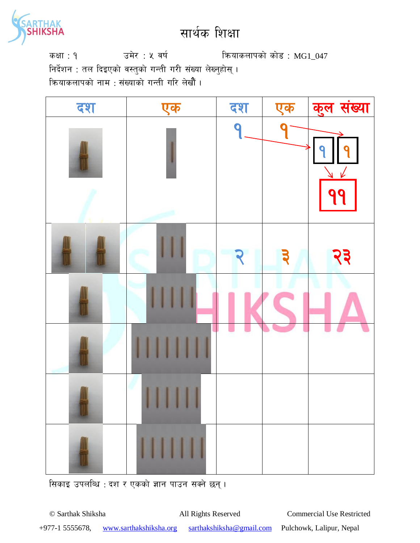

कक्षा: १  $\overline{3}$  उमेर : ५ वर्ष स्वियाकलापको कोड : MG1\_047 निर्देशन : तल दिइएको वस्तुको गन्ती गरी संख्या लेख्नुहोस् । क्रियाकलापको नाम : संख्याको गन्ती गरि लेखौं ।



सिकाइ उपलब्धि : दश र एकको ज्ञान पाउन सक्ने छन्।

© Sarthak Shiksha All Rights Reserved Commercial Use Restricted +977-1 5555678, www.sarthakshiksha.org sarthakshiksha@gmail.com Pulchowk, Lalipur, Nepal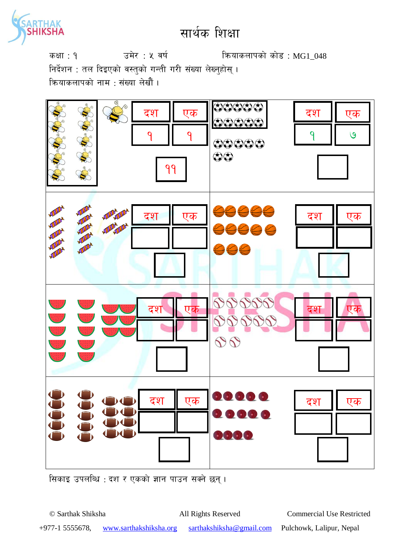

कक्षा: १  $\overline{3}$  उमेर : ५ वर्ष कियाकलापको कोड : MG1\_048 निर्देशन : तल दिइएको वस्तुको गन्ती गरी संख्या लेख्नुहोस् । कियाकलापको नाम : संख्या लेखौं ।



सिकाइ उपलब्धि : दश र एकको ज्ञान पाउन सक्ने छन् ।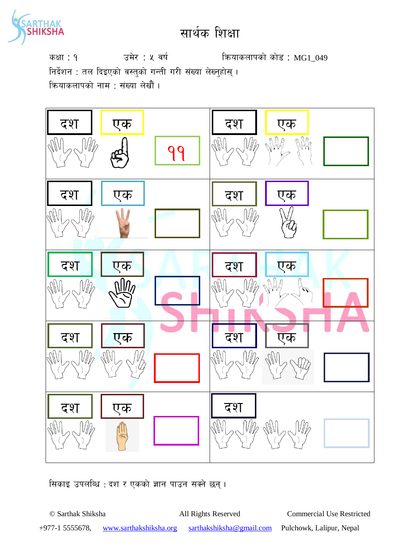

कक्षा : १ जमेर : ५ वर्ष स्वर्ग कथाकलापको कोड : MG1\_049 निर्देशन : तल दिइएको वस्तुको गन्ती गरी संख्या लेख्नुहोस् । कियाकलापको नाम : संख्या लेखौं ।



सिकाइ उपलब्धि : दश र एकको ज्ञान पाउन सक्ने छन्।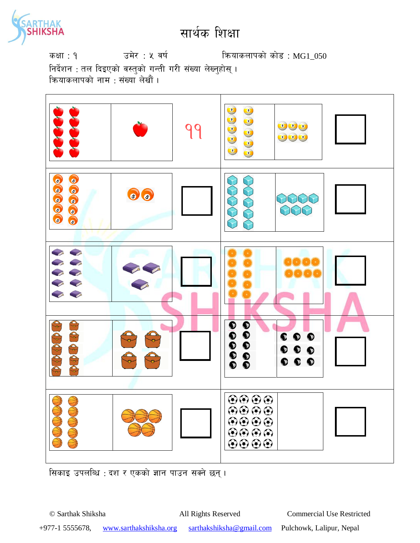

कक्षा: १  $\overline{3}$  उमेर : ५ वर्ष कियाकलापको कोड : MG1\_050

निर्देशन : तल दिइएको वस्तुको गन्ती गरी संख्या लेख्नुहोस् । ऋियाकलापको नाम · संख्या लेखौं ।



सिकाइ उपलब्धि : दश र एकको ज्ञान पाउन सक्ने छन्।